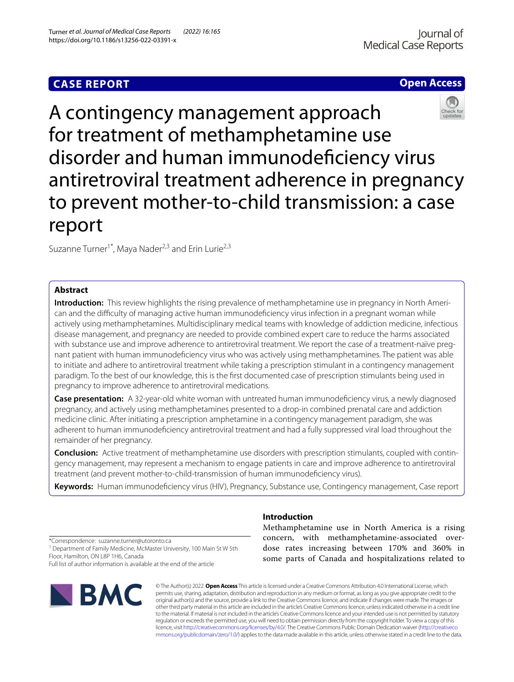# **CASE REPORT**

# **Open Access**



A contingency management approach for treatment of methamphetamine use disorder and human immunodeficiency virus antiretroviral treatment adherence in pregnancy to prevent mother-to-child transmission: a case report

Suzanne Turner<sup>1\*</sup>, Maya Nader<sup>2,3</sup> and Erin Lurie<sup>2,3</sup>

# **Abstract**

**Introduction:** This review highlights the rising prevalence of methamphetamine use in pregnancy in North American and the difculty of managing active human immunodefciency virus infection in a pregnant woman while actively using methamphetamines. Multidisciplinary medical teams with knowledge of addiction medicine, infectious disease management, and pregnancy are needed to provide combined expert care to reduce the harms associated with substance use and improve adherence to antiretroviral treatment. We report the case of a treatment-naïve pregnant patient with human immunodefciency virus who was actively using methamphetamines. The patient was able to initiate and adhere to antiretroviral treatment while taking a prescription stimulant in a contingency management paradigm. To the best of our knowledge, this is the frst documented case of prescription stimulants being used in pregnancy to improve adherence to antiretroviral medications.

**Case presentation:** A 32-year-old white woman with untreated human immunodefciency virus, a newly diagnosed pregnancy, and actively using methamphetamines presented to a drop-in combined prenatal care and addiction medicine clinic. After initiating a prescription amphetamine in a contingency management paradigm, she was adherent to human immunodefciency antiretroviral treatment and had a fully suppressed viral load throughout the remainder of her pregnancy.

**Conclusion:** Active treatment of methamphetamine use disorders with prescription stimulants, coupled with contingency management, may represent a mechanism to engage patients in care and improve adherence to antiretroviral treatment (and prevent mother-to-child-transmission of human immunodefciency virus).

**Keywords:** Human immunodefciency virus (HIV), Pregnancy, Substance use, Contingency management, Case report

\*Correspondence: suzanne.turner@utoronto.ca

<sup>1</sup> Department of Family Medicine, McMaster University, 100 Main St W 5th Floor, Hamilton, ON L8P 1H6, Canada

Full list of author information is available at the end of the article



# **Introduction**

Methamphetamine use in North America is a rising concern, with methamphetamine-associated overdose rates increasing between 170% and 360% in some parts of Canada and hospitalizations related to

© The Author(s) 2022. **Open Access** This article is licensed under a Creative Commons Attribution 4.0 International License, which permits use, sharing, adaptation, distribution and reproduction in any medium or format, as long as you give appropriate credit to the original author(s) and the source, provide a link to the Creative Commons licence, and indicate if changes were made. The images or other third party material in this article are included in the article's Creative Commons licence, unless indicated otherwise in a credit line to the material. If material is not included in the article's Creative Commons licence and your intended use is not permitted by statutory regulation or exceeds the permitted use, you will need to obtain permission directly from the copyright holder. To view a copy of this licence, visit [http://creativecommons.org/licenses/by/4.0/.](http://creativecommons.org/licenses/by/4.0/) The Creative Commons Public Domain Dedication waiver ([http://creativeco](http://creativecommons.org/publicdomain/zero/1.0/) [mmons.org/publicdomain/zero/1.0/](http://creativecommons.org/publicdomain/zero/1.0/)) applies to the data made available in this article, unless otherwise stated in a credit line to the data.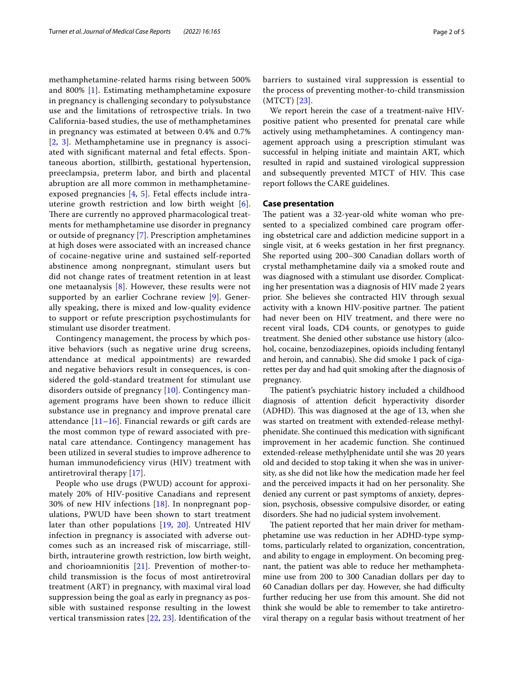methamphetamine-related harms rising between 500% and 800% [\[1](#page-3-0)]. Estimating methamphetamine exposure in pregnancy is challenging secondary to polysubstance use and the limitations of retrospective trials. In two California-based studies, the use of methamphetamines in pregnancy was estimated at between 0.4% and 0.7% [[2](#page-3-1), [3\]](#page-3-2). Methamphetamine use in pregnancy is associated with signifcant maternal and fetal efects. Spontaneous abortion, stillbirth, gestational hypertension, preeclampsia, preterm labor, and birth and placental abruption are all more common in methamphetamineexposed pregnancies [\[4](#page-3-3), [5](#page-3-4)]. Fetal efects include intrauterine growth restriction and low birth weight [[6\]](#page-3-5). There are currently no approved pharmacological treatments for methamphetamine use disorder in pregnancy or outside of pregnancy [[7\]](#page-3-6). Prescription amphetamines at high doses were associated with an increased chance of cocaine-negative urine and sustained self-reported abstinence among nonpregnant, stimulant users but did not change rates of treatment retention in at least one metaanalysis [[8](#page-3-7)]. However, these results were not supported by an earlier Cochrane review [[9\]](#page-3-8). Generally speaking, there is mixed and low-quality evidence to support or refute prescription psychostimulants for stimulant use disorder treatment.

Contingency management, the process by which positive behaviors (such as negative urine drug screens, attendance at medical appointments) are rewarded and negative behaviors result in consequences, is considered the gold-standard treatment for stimulant use disorders outside of pregnancy [\[10](#page-3-9)]. Contingency management programs have been shown to reduce illicit substance use in pregnancy and improve prenatal care attendance  $[11–16]$  $[11–16]$  $[11–16]$ . Financial rewards or gift cards are the most common type of reward associated with prenatal care attendance. Contingency management has been utilized in several studies to improve adherence to human immunodefciency virus (HIV) treatment with antiretroviral therapy [[17\]](#page-3-12).

People who use drugs (PWUD) account for approximately 20% of HIV-positive Canadians and represent 30% of new HIV infections [[18\]](#page-3-13). In nonpregnant populations, PWUD have been shown to start treatment later than other populations [\[19](#page-3-14), [20](#page-3-15)]. Untreated HIV infection in pregnancy is associated with adverse outcomes such as an increased risk of miscarriage, stillbirth, intrauterine growth restriction, low birth weight, and chorioamnionitis [\[21](#page-3-16)]. Prevention of mother-tochild transmission is the focus of most antiretroviral treatment (ART) in pregnancy, with maximal viral load suppression being the goal as early in pregnancy as possible with sustained response resulting in the lowest vertical transmission rates [[22,](#page-3-17) [23\]](#page-4-0). Identifcation of the barriers to sustained viral suppression is essential to the process of preventing mother-to-child transmission (MTCT) [[23\]](#page-4-0).

We report herein the case of a treatment-naïve HIVpositive patient who presented for prenatal care while actively using methamphetamines. A contingency management approach using a prescription stimulant was successful in helping initiate and maintain ART, which resulted in rapid and sustained virological suppression and subsequently prevented MTCT of HIV. This case report follows the CARE guidelines.

# **Case presentation**

The patient was a 32-year-old white woman who presented to a specialized combined care program offering obstetrical care and addiction medicine support in a single visit, at 6 weeks gestation in her frst pregnancy. She reported using 200–300 Canadian dollars worth of crystal methamphetamine daily via a smoked route and was diagnosed with a stimulant use disorder. Complicating her presentation was a diagnosis of HIV made 2 years prior. She believes she contracted HIV through sexual activity with a known HIV-positive partner. The patient had never been on HIV treatment, and there were no recent viral loads, CD4 counts, or genotypes to guide treatment. She denied other substance use history (alcohol, cocaine, benzodiazepines, opioids including fentanyl and heroin, and cannabis). She did smoke 1 pack of cigarettes per day and had quit smoking after the diagnosis of pregnancy.

The patient's psychiatric history included a childhood diagnosis of attention deficit hyperactivity disorder (ADHD). This was diagnosed at the age of 13, when she was started on treatment with extended-release methylphenidate. She continued this medication with signifcant improvement in her academic function. She continued extended-release methylphenidate until she was 20 years old and decided to stop taking it when she was in university, as she did not like how the medication made her feel and the perceived impacts it had on her personality. She denied any current or past symptoms of anxiety, depression, psychosis, obsessive compulsive disorder, or eating disorders. She had no judicial system involvement.

The patient reported that her main driver for methamphetamine use was reduction in her ADHD-type symptoms, particularly related to organization, concentration, and ability to engage in employment. On becoming pregnant, the patient was able to reduce her methamphetamine use from 200 to 300 Canadian dollars per day to 60 Canadian dollars per day. However, she had difficulty further reducing her use from this amount. She did not think she would be able to remember to take antiretroviral therapy on a regular basis without treatment of her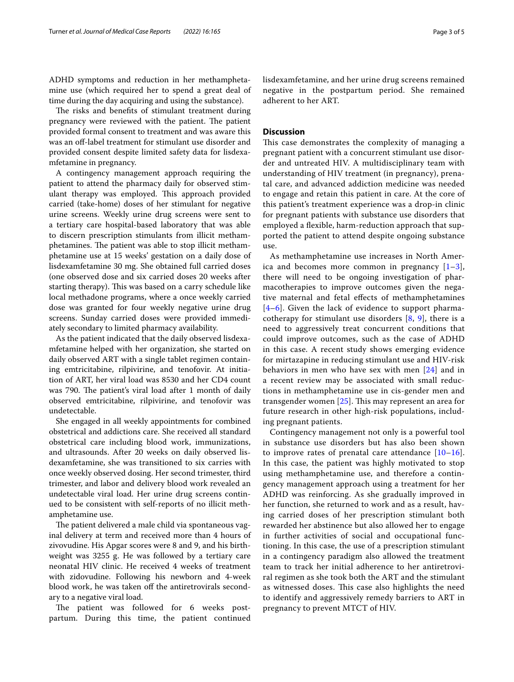ADHD symptoms and reduction in her methamphetamine use (which required her to spend a great deal of time during the day acquiring and using the substance).

The risks and benefits of stimulant treatment during pregnancy were reviewed with the patient. The patient provided formal consent to treatment and was aware this was an off-label treatment for stimulant use disorder and provided consent despite limited safety data for lisdexamfetamine in pregnancy.

A contingency management approach requiring the patient to attend the pharmacy daily for observed stimulant therapy was employed. This approach provided carried (take-home) doses of her stimulant for negative urine screens. Weekly urine drug screens were sent to a tertiary care hospital-based laboratory that was able to discern prescription stimulants from illicit methamphetamines. The patient was able to stop illicit methamphetamine use at 15 weeks' gestation on a daily dose of lisdexamfetamine 30 mg. She obtained full carried doses (one observed dose and six carried doses 20 weeks after starting therapy). This was based on a carry schedule like local methadone programs, where a once weekly carried dose was granted for four weekly negative urine drug screens. Sunday carried doses were provided immediately secondary to limited pharmacy availability.

As the patient indicated that the daily observed lisdexamfetamine helped with her organization, she started on daily observed ART with a single tablet regimen containing emtricitabine, rilpivirine, and tenofovir. At initiation of ART, her viral load was 8530 and her CD4 count was 790. The patient's viral load after 1 month of daily observed emtricitabine, rilpivirine, and tenofovir was undetectable.

She engaged in all weekly appointments for combined obstetrical and addictions care. She received all standard obstetrical care including blood work, immunizations, and ultrasounds. After 20 weeks on daily observed lisdexamfetamine, she was transitioned to six carries with once weekly observed dosing. Her second trimester, third trimester, and labor and delivery blood work revealed an undetectable viral load. Her urine drug screens continued to be consistent with self-reports of no illicit methamphetamine use.

The patient delivered a male child via spontaneous vaginal delivery at term and received more than 4 hours of zivovudine. His Apgar scores were 8 and 9, and his birthweight was 3255 g. He was followed by a tertiary care neonatal HIV clinic. He received 4 weeks of treatment with zidovudine. Following his newborn and 4-week blood work, he was taken off the antiretrovirals secondary to a negative viral load.

The patient was followed for 6 weeks postpartum. During this time, the patient continued lisdexamfetamine, and her urine drug screens remained negative in the postpartum period. She remained adherent to her ART.

# **Discussion**

This case demonstrates the complexity of managing a pregnant patient with a concurrent stimulant use disorder and untreated HIV. A multidisciplinary team with understanding of HIV treatment (in pregnancy), prenatal care, and advanced addiction medicine was needed to engage and retain this patient in care. At the core of this patient's treatment experience was a drop-in clinic for pregnant patients with substance use disorders that employed a flexible, harm-reduction approach that supported the patient to attend despite ongoing substance use.

As methamphetamine use increases in North America and becomes more common in pregnancy  $[1-3]$  $[1-3]$  $[1-3]$ , there will need to be ongoing investigation of pharmacotherapies to improve outcomes given the negative maternal and fetal efects of methamphetamines [[4](#page-3-3)[–6](#page-3-5)]. Given the lack of evidence to support pharmacotherapy for stimulant use disorders [[8](#page-3-7), [9](#page-3-8)], there is a need to aggressively treat concurrent conditions that could improve outcomes, such as the case of ADHD in this case. A recent study shows emerging evidence for mirtazapine in reducing stimulant use and HIV-risk behaviors in men who have sex with men [[24\]](#page-4-1) and in a recent review may be associated with small reductions in methamphetamine use in cis-gender men and transgender women  $[25]$  $[25]$ . This may represent an area for future research in other high-risk populations, including pregnant patients.

Contingency management not only is a powerful tool in substance use disorders but has also been shown to improve rates of prenatal care attendance  $[10-16]$  $[10-16]$  $[10-16]$ . In this case, the patient was highly motivated to stop using methamphetamine use, and therefore a contingency management approach using a treatment for her ADHD was reinforcing. As she gradually improved in her function, she returned to work and as a result, having carried doses of her prescription stimulant both rewarded her abstinence but also allowed her to engage in further activities of social and occupational functioning. In this case, the use of a prescription stimulant in a contingency paradigm also allowed the treatment team to track her initial adherence to her antiretroviral regimen as she took both the ART and the stimulant as witnessed doses. This case also highlights the need to identify and aggressively remedy barriers to ART in pregnancy to prevent MTCT of HIV.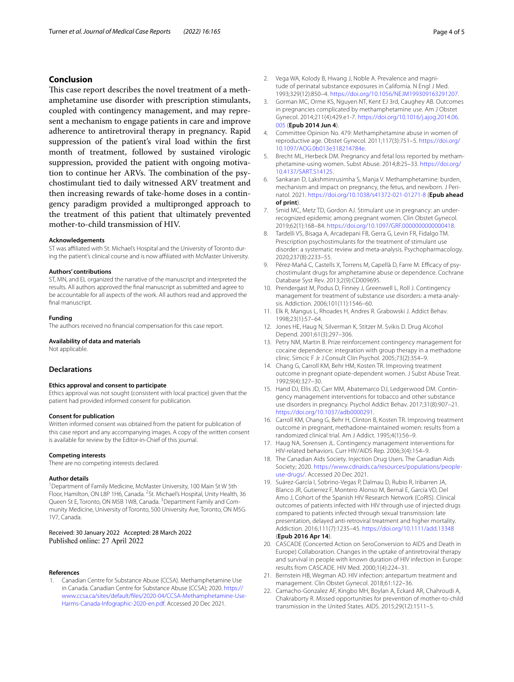# **Conclusion**

This case report describes the novel treatment of a methamphetamine use disorder with prescription stimulants, coupled with contingency management, and may represent a mechanism to engage patients in care and improve adherence to antiretroviral therapy in pregnancy. Rapid suppression of the patient's viral load within the frst month of treatment, followed by sustained virologic suppression, provided the patient with ongoing motivation to continue her ARVs. The combination of the psychostimulant tied to daily witnessed ARV treatment and then increasing rewards of take-home doses in a contingency paradigm provided a multipronged approach to the treatment of this patient that ultimately prevented mother-to-child transmission of HIV.

#### **Acknowledgements**

ST was afliated with St. Michael's Hospital and the University of Toronto during the patient's clinical course and is now affiliated with McMaster University.

#### **Authors' contributions**

ST, MN, and EL organized the narrative of the manuscript and interpreted the results. All authors approved the fnal manuscript as submitted and agree to be accountable for all aspects of the work. All authors read and approved the fnal manuscript.

### **Funding**

The authors received no fnancial compensation for this case report.

#### **Availability of data and materials**

Not applicable.

### **Declarations**

#### **Ethics approval and consent to participate**

Ethics approval was not sought (consistent with local practice) given that the patient had provided informed consent for publication.

# **Consent for publication**

Written informed consent was obtained from the patient for publication of this case report and any accompanying images. A copy of the written consent is available for review by the Editor-in-Chief of this journal.

#### **Competing interests**

There are no competing interests declared.

#### **Author details**

<sup>1</sup> Department of Family Medicine, McMaster University, 100 Main St W 5th Floor, Hamilton, ON L8P 1H6, Canada. <sup>2</sup>St. Michael's Hospital, Unity Health, 36 Queen St E, Toronto, ON M5B 1W8, Canada. <sup>3</sup> Department Family and Community Medicine, University of Toronto, 500 University Ave, Toronto, ON M5G 1V7, Canada.

### Received: 30 January 2022 Accepted: 28 March 2022 Published online: 27 April 2022

#### **References**

<span id="page-3-0"></span>1. Canadian Centre for Substance Abuse (CCSA). Methamphetamine Use in Canada. Canadian Centre for Substance Abuse (CCSA); 2020. [https://](https://www.ccsa.ca/sites/default/files/2020-04/CCSA-Methamphetamine-Use-Harms-Canada-Infographic-2020-en.pdf) [www.ccsa.ca/sites/default/fles/2020-04/CCSA-Methamphetamine-Use-](https://www.ccsa.ca/sites/default/files/2020-04/CCSA-Methamphetamine-Use-Harms-Canada-Infographic-2020-en.pdf)[Harms-Canada-Infographic-2020-en.pdf.](https://www.ccsa.ca/sites/default/files/2020-04/CCSA-Methamphetamine-Use-Harms-Canada-Infographic-2020-en.pdf) Accessed 20 Dec 2021.

- <span id="page-3-1"></span>2. Vega WA, Kolody B, Hwang J, Noble A. Prevalence and magnitude of perinatal substance exposures in California. N Engl J Med. 1993;329(12):850–4. [https://doi.org/10.1056/NEJM199309163291207.](https://doi.org/10.1056/NEJM199309163291207)
- <span id="page-3-2"></span>3. Gorman MC, Orme KS, Nguyen NT, Kent EJ 3rd, Caughey AB. Outcomes in pregnancies complicated by methamphetamine use. Am J Obstet Gynecol. 2014;211(4):429.e1-7. [https://doi.org/10.1016/j.ajog.2014.06.](https://doi.org/10.1016/j.ajog.2014.06.005) [005](https://doi.org/10.1016/j.ajog.2014.06.005) (**Epub 2014 Jun 4**).
- <span id="page-3-3"></span>4. Committee Opinion No. 479: Methamphetamine abuse in women of reproductive age. Obstet Gynecol. 2011;117(3):751–5. [https://doi.org/](https://doi.org/10.1097/AOG.0b013e318214784e) [10.1097/AOG.0b013e318214784e.](https://doi.org/10.1097/AOG.0b013e318214784e)
- <span id="page-3-4"></span>5. Brecht ML, Herbeck DM. Pregnancy and fetal loss reported by methamphetamine-using women. Subst Abuse. 2014;8:25–33. [https://doi.org/](https://doi.org/10.4137/SART.S14125) [10.4137/SART.S14125.](https://doi.org/10.4137/SART.S14125)
- <span id="page-3-5"></span>6. Sankaran D, Lakshminrusimha S, Manja V. Methamphetamine: burden, mechanism and impact on pregnancy, the fetus, and newborn. J Perinatol. 2021. <https://doi.org/10.1038/s41372-021-01271-8>(**Epub ahead of print**).
- <span id="page-3-6"></span>7. Smid MC, Metz TD, Gordon AJ. Stimulant use in pregnancy: an underrecognized epidemic among pregnant women. Clin Obstet Gynecol. 2019;62(1):168–84. <https://doi.org/10.1097/GRF.0000000000000418>.
- <span id="page-3-7"></span>8. Tardelli VS, Bisaga A, Arcadepani FB, Gerra G, Levin FR, Fidalgo TM. Prescription psychostimulants for the treatment of stimulant use disorder: a systematic review and meta-analysis. Psychopharmacology. 2020;237(8):2233–55.
- <span id="page-3-8"></span>9. Pérez-Mañá C, Castells X, Torrens M, Capellà D, Farre M. Efficacy of psychostimulant drugs for amphetamine abuse or dependence. Cochrane Database Syst Rev. 2013;2(9):CD009695.
- <span id="page-3-9"></span>10. Prendergast M, Podus D, Finney J, Greenwell L, Roll J. Contingency management for treatment of substance use disorders: a meta-analysis. Addiction. 2006;101(11):1546–60.
- <span id="page-3-10"></span>11. Elk R, Mangus L, Rhoades H, Andres R. Grabowski J. Addict Behav. 1998;23(1):57–64.
- 12. Jones HE, Haug N, Silverman K, Stitzer M. Svikis D. Drug Alcohol Depend. 2001;61(3):297–306.
- 13. Petry NM, Martin B. Prize reinforcement contingency management for cocaine dependence: integration with group therapy in a methadone clinic. Simcic F Jr J Consult Clin Psychol. 2005;73(2):354–9.
- 14. Chang G, Carroll KM, Behr HM, Kosten TR. Improving treatment outcome in pregnant opiate-dependent women. J Subst Abuse Treat. 1992;9(4):327–30.
- 15. Hand DJ, Ellis JD, Carr MM, Abatemarco DJ, Ledgerwood DM. Contingency management interventions for tobacco and other substance use disorders in pregnancy. Psychol Addict Behav. 2017;31(8):907–21. <https://doi.org/10.1037/adb0000291>.
- <span id="page-3-11"></span>16. Carroll KM, Chang G, Behr H, Clinton B, Kosten TR. Improving treatment outcome in pregnant, methadone-maintained women: results from a randomized clinical trial. Am J Addict. 1995;4(1):56–9.
- <span id="page-3-12"></span>17. Haug NA, Sorensen JL. Contingency management interventions for HIV-related behaviors. Curr HIV/AIDS Rep. 2006;3(4):154–9.
- <span id="page-3-13"></span>18. The Canadian Aids Society. Injection Drug Users. The Canadian Aids Society; 2020. [https://www.cdnaids.ca/resources/populations/people](https://www.cdnaids.ca/resources/populations/people-use-drugs/)[use-drugs/.](https://www.cdnaids.ca/resources/populations/people-use-drugs/) Accessed 20 Dec 2021.
- <span id="page-3-14"></span>19. Suárez-García I, Sobrino-Vegas P, Dalmau D, Rubio R, Iribarren JA, Blanco JR, Gutierrez F, Montero Alonso M, Bernal E, García VD, Del Amo J, Cohort of the Spanish HIV Research Network (CoRIS). Clinical outcomes of patients infected with HIV through use of injected drugs compared to patients infected through sexual transmission: late presentation, delayed anti-retroviral treatment and higher mortality. Addiction. 2016;111(7):1235–45. <https://doi.org/10.1111/add.13348> (**Epub 2016 Apr 14**).
- <span id="page-3-15"></span>20. CASCADE (Concerted Action on SeroConversion to AIDS and Death in Europe) Collaboration. Changes in the uptake of antiretroviral therapy and survival in people with known duration of HIV infection in Europe: results from CASCADE. HIV Med. 2000;1(4):224–31.
- <span id="page-3-16"></span>21. Bernstein HB, Wegman AD. HIV infection: antepartum treatment and management. Clin Obstet Gynecol. 2018;61:122–36.
- <span id="page-3-17"></span>22. Camacho-Gonzalez AF, Kingbo MH, Boylan A, Eckard AR, Chahroudi A, Chakraborty R. Missed opportunities for prevention of mother-to-child transmission in the United States. AIDS. 2015;29(12):1511–5.